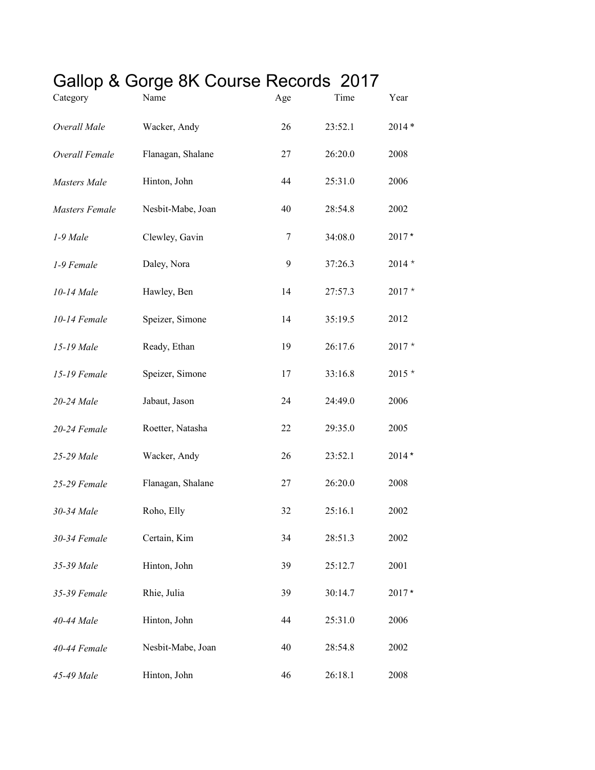## Gallop & Gorge 8K Course Records 2017

| Category              | Name              | Age | Time    | Year     |
|-----------------------|-------------------|-----|---------|----------|
| Overall Male          | Wacker, Andy      | 26  | 23:52.1 | $2014*$  |
| Overall Female        | Flanagan, Shalane | 27  | 26:20.0 | 2008     |
| <b>Masters</b> Male   | Hinton, John      | 44  | 25:31.0 | 2006     |
| <b>Masters Female</b> | Nesbit-Mabe, Joan | 40  | 28:54.8 | 2002     |
| 1-9 Male              | Clewley, Gavin    | 7   | 34:08.0 | 2017*    |
| 1-9 Female            | Daley, Nora       | 9   | 37:26.3 | $2014 *$ |
| 10-14 Male            | Hawley, Ben       | 14  | 27:57.3 | $2017 *$ |
| 10-14 Female          | Speizer, Simone   | 14  | 35:19.5 | 2012     |
| 15-19 Male            | Ready, Ethan      | 19  | 26:17.6 | $2017 *$ |
| 15-19 Female          | Speizer, Simone   | 17  | 33:16.8 | $2015*$  |
| 20-24 Male            | Jabaut, Jason     | 24  | 24:49.0 | 2006     |
| 20-24 Female          | Roetter, Natasha  | 22  | 29:35.0 | 2005     |
| 25-29 Male            | Wacker, Andy      | 26  | 23:52.1 | $2014*$  |
| 25-29 Female          | Flanagan, Shalane | 27  | 26:20.0 | 2008     |
| 30-34 Male            | Roho, Elly        | 32  | 25:16.1 | 2002     |
| 30-34 Female          | Certain, Kim      | 34  | 28:51.3 | 2002     |
| 35-39 Male            | Hinton, John      | 39  | 25:12.7 | 2001     |
| 35-39 Female          | Rhie, Julia       | 39  | 30:14.7 | $2017*$  |
| 40-44 Male            | Hinton, John      | 44  | 25:31.0 | 2006     |
| 40-44 Female          | Nesbit-Mabe, Joan | 40  | 28:54.8 | 2002     |
| 45-49 Male            | Hinton, John      | 46  | 26:18.1 | 2008     |